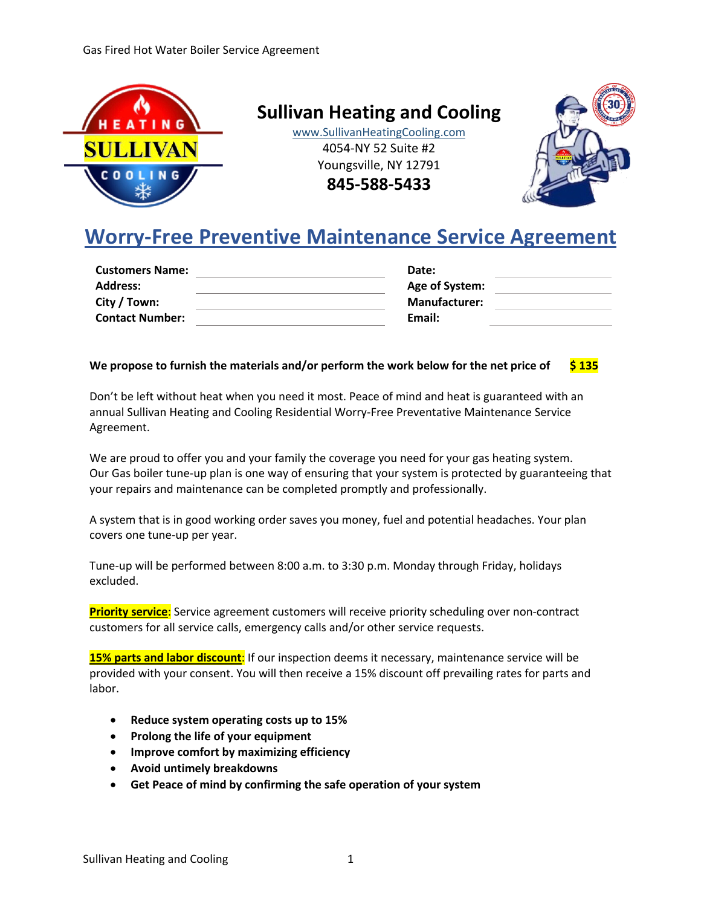

**Sullivan Heating and Cooling**

www.SullivanHeatingCooling.com 4054-NY 52 Suite #2 Youngsville, NY 12791

**845-588-5433**



# **Worry-Free Preventive Maintenance Service Agreement**

| <b>Customers Name:</b> | Date:                |  |
|------------------------|----------------------|--|
| <b>Address:</b>        | Age of System:       |  |
| City / Town:           | <b>Manufacturer:</b> |  |
| <b>Contact Number:</b> | Email:               |  |
|                        |                      |  |

# **We propose to furnish the materials and/or perform the work below for the net price of \$ 135**

Don't be left without heat when you need it most. Peace of mind and heat is guaranteed with an annual Sullivan Heating and Cooling Residential Worry-Free Preventative Maintenance Service Agreement.

We are proud to offer you and your family the coverage you need for your gas heating system. Our Gas boiler tune-up plan is one way of ensuring that your system is protected by guaranteeing that your repairs and maintenance can be completed promptly and professionally.

A system that is in good working order saves you money, fuel and potential headaches. Your plan covers one tune-up per year.

Tune-up will be performed between 8:00 a.m. to 3:30 p.m. Monday through Friday, holidays excluded.

**Priority service**: Service agreement customers will receive priority scheduling over non-contract customers for all service calls, emergency calls and/or other service requests.

**15% parts and labor discount**: If our inspection deems it necessary, maintenance service will be provided with your consent. You will then receive a 15% discount off prevailing rates for parts and labor.

- **Reduce system operating costs up to 15%**
- **Prolong the life of your equipment**
- **Improve comfort by maximizing efficiency**
- **Avoid untimely breakdowns**
- **Get Peace of mind by confirming the safe operation of your system**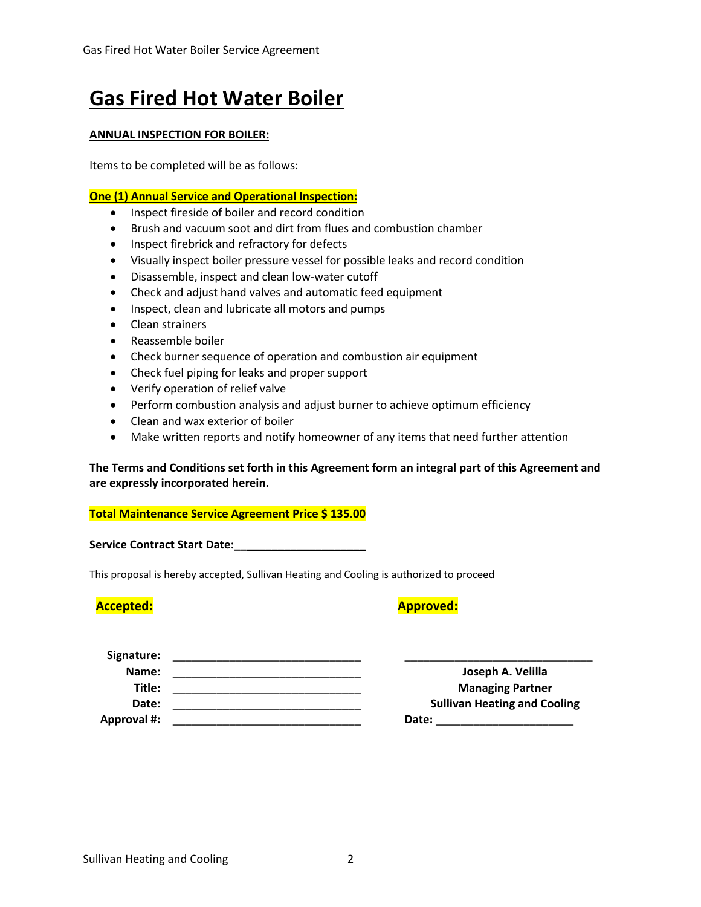# **Gas Fired Hot Water Boiler**

# **ANNUAL INSPECTION FOR BOILER:**

Items to be completed will be as follows:

# **One (1) Annual Service and Operational Inspection:**

- Inspect fireside of boiler and record condition
- Brush and vacuum soot and dirt from flues and combustion chamber
- Inspect firebrick and refractory for defects
- Visually inspect boiler pressure vessel for possible leaks and record condition
- Disassemble, inspect and clean low-water cutoff
- Check and adjust hand valves and automatic feed equipment
- Inspect, clean and lubricate all motors and pumps
- Clean strainers
- Reassemble boiler
- Check burner sequence of operation and combustion air equipment
- Check fuel piping for leaks and proper support
- Verify operation of relief valve
- Perform combustion analysis and adjust burner to achieve optimum efficiency
- Clean and wax exterior of boiler
- Make written reports and notify homeowner of any items that need further attention

# **The Terms and Conditions set forth in this Agreement form an integral part of this Agreement and are expressly incorporated herein.**

# **Total Maintenance Service Agreement Price \$ 135.00**

Service Contract Start Date:

This proposal is hereby accepted, Sullivan Heating and Cooling is authorized to proceed

# **Accepted: Approved:**

| Signature:         |                                     |
|--------------------|-------------------------------------|
| Name:              | Joseph A. Velilla                   |
| Title:             | <b>Managing Partner</b>             |
| Date:              | <b>Sullivan Heating and Cooling</b> |
| <b>Approval #:</b> | Date:                               |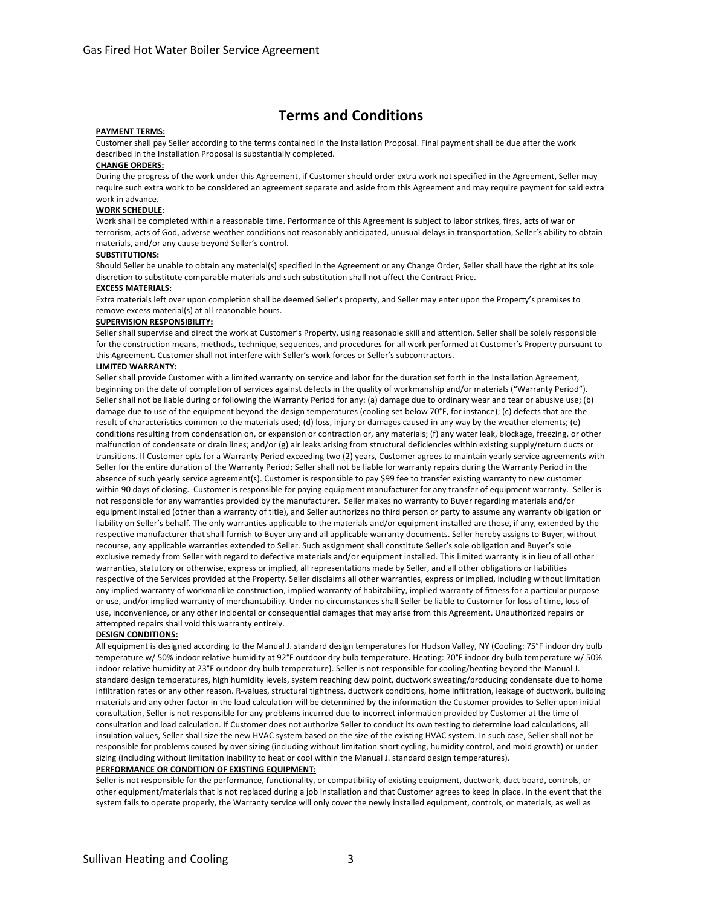# **Terms and Conditions**

#### **PAYMENT TERMS:**

Customer shall pay Seller according to the terms contained in the Installation Proposal. Final payment shall be due after the work described in the Installation Proposal is substantially completed.

#### **CHANGE ORDERS:**

During the progress of the work under this Agreement, if Customer should order extra work not specified in the Agreement, Seller may require such extra work to be considered an agreement separate and aside from this Agreement and may require payment for said extra work in advance.

#### **WORK SCHEDULE**:

Work shall be completed within a reasonable time. Performance of this Agreement is subject to labor strikes, fires, acts of war or terrorism, acts of God, adverse weather conditions not reasonably anticipated, unusual delays in transportation, Seller's ability to obtain materials, and/or any cause beyond Seller's control.

#### **SUBSTITUTIONS:**

Should Seller be unable to obtain any material(s) specified in the Agreement or any Change Order, Seller shall have the right at its sole discretion to substitute comparable materials and such substitution shall not affect the Contract Price.

#### **EXCESS MATERIALS:**

Extra materials left over upon completion shall be deemed Seller's property, and Seller may enter upon the Property's premises to remove excess material(s) at all reasonable hours.

#### **SUPERVISION RESPONSIBILITY:**

Seller shall supervise and direct the work at Customer's Property, using reasonable skill and attention. Seller shall be solely responsible for the construction means, methods, technique, sequences, and procedures for all work performed at Customer's Property pursuant to this Agreement. Customer shall not interfere with Seller's work forces or Seller's subcontractors.

#### **LIMITED WARRANTY:**

Seller shall provide Customer with a limited warranty on service and labor for the duration set forth in the Installation Agreement, beginning on the date of completion of services against defects in the quality of workmanship and/or materials ("Warranty Period"). Seller shall not be liable during or following the Warranty Period for any: (a) damage due to ordinary wear and tear or abusive use; (b) damage due to use of the equipment beyond the design temperatures (cooling set below 70°F, for instance); (c) defects that are the result of characteristics common to the materials used; (d) loss, injury or damages caused in any way by the weather elements; (e) conditions resulting from condensation on, or expansion or contraction or, any materials; (f) any water leak, blockage, freezing, or other malfunction of condensate or drain lines; and/or (g) air leaks arising from structural deficiencies within existing supply/return ducts or transitions. If Customer opts for a Warranty Period exceeding two (2) years, Customer agrees to maintain yearly service agreements with Seller for the entire duration of the Warranty Period; Seller shall not be liable for warranty repairs during the Warranty Period in the absence of such yearly service agreement(s). Customer is responsible to pay \$99 fee to transfer existing warranty to new customer within 90 days of closing. Customer is responsible for paying equipment manufacturer for any transfer of equipment warranty. Seller is not responsible for any warranties provided by the manufacturer. Seller makes no warranty to Buyer regarding materials and/or equipment installed (other than a warranty of title), and Seller authorizes no third person or party to assume any warranty obligation or liability on Seller's behalf. The only warranties applicable to the materials and/or equipment installed are those, if any, extended by the respective manufacturer that shall furnish to Buyer any and all applicable warranty documents. Seller hereby assigns to Buyer, without recourse, any applicable warranties extended to Seller. Such assignment shall constitute Seller's sole obligation and Buyer's sole exclusive remedy from Seller with regard to defective materials and/or equipment installed. This limited warranty is in lieu of all other warranties, statutory or otherwise, express or implied, all representations made by Seller, and all other obligations or liabilities respective of the Services provided at the Property. Seller disclaims all other warranties, express or implied, including without limitation any implied warranty of workmanlike construction, implied warranty of habitability, implied warranty of fitness for a particular purpose or use, and/or implied warranty of merchantability. Under no circumstances shall Seller be liable to Customer for loss of time, loss of use, inconvenience, or any other incidental or consequential damages that may arise from this Agreement. Unauthorized repairs or attempted repairs shall void this warranty entirely.

#### **DESIGN CONDITIONS:**

All equipment is designed according to the Manual J. standard design temperatures for Hudson Valley, NY (Cooling: 75°F indoor dry bulb temperature w/ 50% indoor relative humidity at 92°F outdoor dry bulb temperature. Heating: 70°F indoor dry bulb temperature w/ 50% indoor relative humidity at 23°F outdoor dry bulb temperature). Seller is not responsible for cooling/heating beyond the Manual J. standard design temperatures, high humidity levels, system reaching dew point, ductwork sweating/producing condensate due to home infiltration rates or any other reason. R-values, structural tightness, ductwork conditions, home infiltration, leakage of ductwork, building materials and any other factor in the load calculation will be determined by the information the Customer provides to Seller upon initial consultation, Seller is not responsible for any problems incurred due to incorrect information provided by Customer at the time of consultation and load calculation. If Customer does not authorize Seller to conduct its own testing to determine load calculations, all insulation values, Seller shall size the new HVAC system based on the size of the existing HVAC system. In such case, Seller shall not be responsible for problems caused by over sizing (including without limitation short cycling, humidity control, and mold growth) or under sizing (including without limitation inability to heat or cool within the Manual J. standard design temperatures).

### **PERFORMANCE OR CONDITION OF EXISTING EQUIPMENT:**

Seller is not responsible for the performance, functionality, or compatibility of existing equipment, ductwork, duct board, controls, or other equipment/materials that is not replaced during a job installation and that Customer agrees to keep in place. In the event that the system fails to operate properly, the Warranty service will only cover the newly installed equipment, controls, or materials, as well as